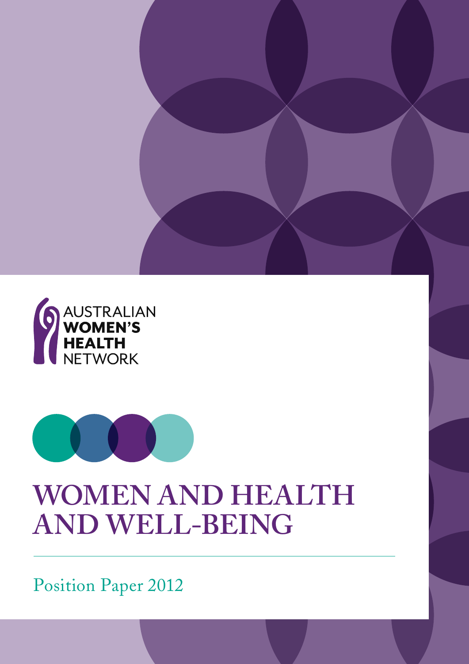



# **WOMEN AND HEALTH AND WELL‑BEING**

Position Paper 2012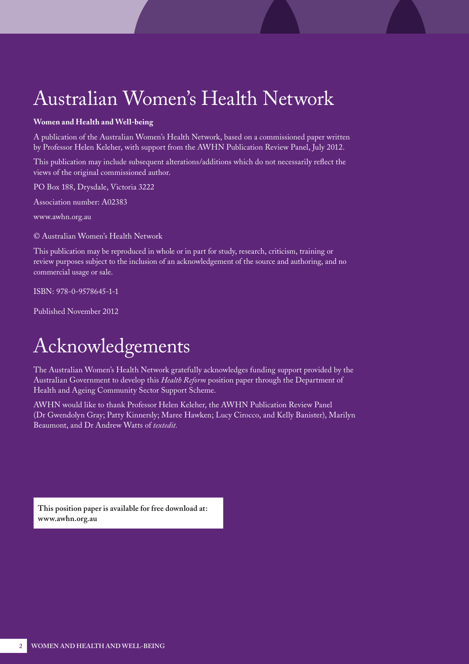# Australian Women's Health Network

#### **Women and Health and Well-being**

A publication of the Australian Women's Health Network, based on a commissioned paper written by Professor Helen Keleher, with support from the AWHN Publication Review Panel, July 2012.

This publication may include subsequent alterations/additions which do not necessarily reflect the views of the original commissioned author.

PO Box 188, Drysdale, Victoria 3222

Association number: A02383

[www.awhn.org.au](http://www.awhn.org.au)

© Australian Women's Health Network

This publication may be reproduced in whole or in part for study, research, criticism, training or review purposes subject to the inclusion of an acknowledgement of the source and authoring, and no commercial usage or sale.

ISBN: 978-0-9578645-1-1

Published November 2012

# Acknowledgements

The Australian Women's Health Network gratefully acknowledges funding support provided by the Australian Government to develop this *Health Reform* position paper through the Department of Health and Ageing Community Sector Support Scheme.

AWHN would like to thank Professor Helen Keleher, the AWHN Publication Review Panel (Dr Gwendolyn Gray; Patty Kinnersly; Maree Hawken; Lucy Cirocco, and Kelly Banister), Marilyn Beaumont, and Dr Andrew Watts of *textedit.*

**This position paper is available for free download at: [www.awhn.org.au](http://www.awhn.org.au)**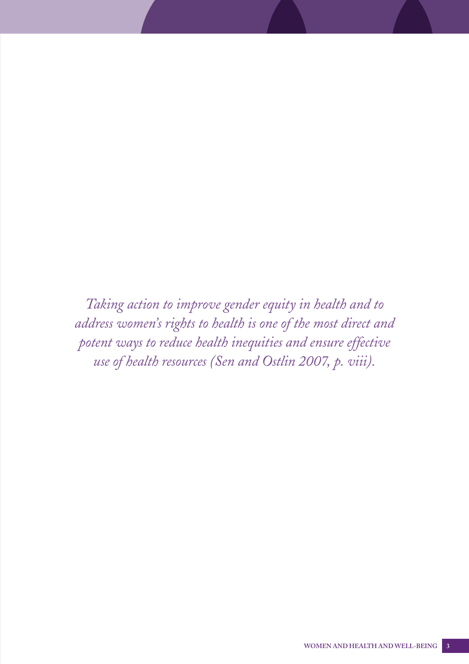*Taking action to improve gender equity in health and to address women's rights to health is one of the most direct and potent ways to reduce health inequities and ensure effective use of health resources (Sen and Ostlin 2007, p. viii).*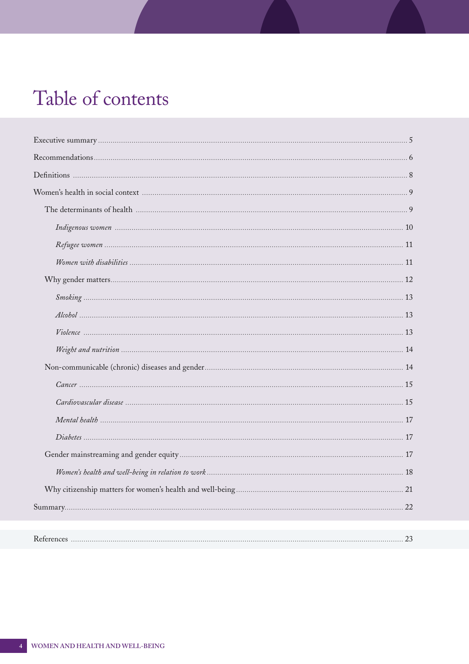# Table of contents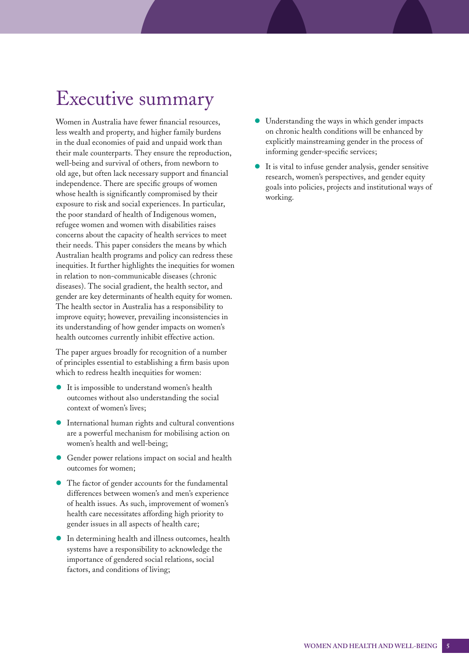## <span id="page-4-0"></span>Executive summary

Women in Australia have fewer financial resources, less wealth and property, and higher family burdens in the dual economies of paid and unpaid work than their male counterparts. They ensure the reproduction, well-being and survival of others, from newborn to old age, but often lack necessary support and financial independence. There are specific groups of women whose health is significantly compromised by their exposure to risk and social experiences. In particular, the poor standard of health of Indigenous women, refugee women and women with disabilities raises concerns about the capacity of health services to meet their needs. This paper considers the means by which Australian health programs and policy can redress these inequities. It further highlights the inequities for women in relation to non-communicable diseases (chronic diseases). The social gradient, the health sector, and gender are key determinants of health equity for women. The health sector in Australia has a responsibility to improve equity; however, prevailing inconsistencies in its understanding of how gender impacts on women's health outcomes currently inhibit effective action.

The paper argues broadly for recognition of a number of principles essential to establishing a firm basis upon which to redress health inequities for women:

- It is impossible to understand women's health outcomes without also understanding the social context of women's lives;
- International human rights and cultural conventions are a powerful mechanism for mobilising action on women's health and well-being;
- Gender power relations impact on social and health outcomes for women;
- The factor of gender accounts for the fundamental differences between women's and men's experience of health issues. As such, improvement of women's health care necessitates affording high priority to gender issues in all aspects of health care;
- In determining health and illness outcomes, health systems have a responsibility to acknowledge the importance of gendered social relations, social factors, and conditions of living;
- Understanding the ways in which gender impacts on chronic health conditions will be enhanced by explicitly mainstreaming gender in the process of informing gender-specific services;
- It is vital to infuse gender analysis, gender sensitive research, women's perspectives, and gender equity goals into policies, projects and institutional ways of working.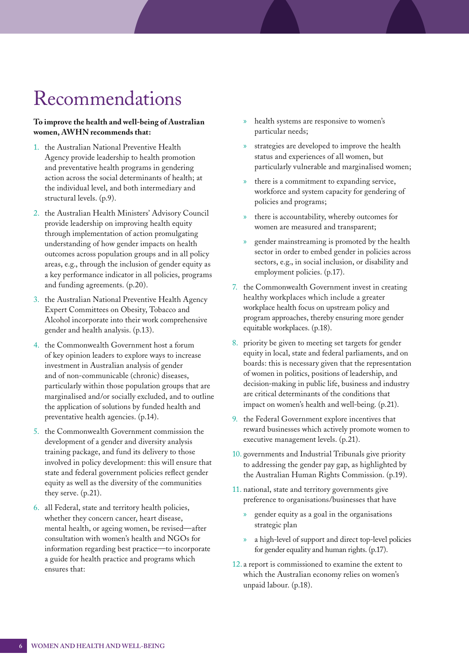# <span id="page-5-0"></span>Recommendations

#### **To improve the health and well-being of Australian women, AWHN recommends that:**

- 1. the Australian National Preventive Health Agency provide leadership to health promotion and preventative health programs in gendering action across the social determinants of health; at the individual level, and both intermediary and structural levels. [\(p.9\)](#page-8-0).
- 2. the Australian Health Ministers' Advisory Council provide leadership on improving health equity through implementation of action promulgating understanding of how gender impacts on health outcomes across population groups and in all policy areas, e.g., through the inclusion of gender equity as a key performance indicator in all policies, programs and funding agreements. ([p.](#page-19-0)20).
- 3. the Australian National Preventive Health Agency Expert Committees on Obesity, Tobacco and Alcohol incorporate into their work comprehensive gender and health analysis. [\(p.13\)](#page-12-0).
- 4. the Commonwealth Government host a forum of key opinion leaders to explore ways to increase investment in Australian analysis of gender and of non-communicable (chronic) diseases, particularly within those population groups that are marginalised and/or socially excluded, and to outline the application of solutions by funded health and preventative health agencies. ([p.14\)](#page-13-0).
- 5. the Commonwealth Government commission the development of a gender and diversity analysis training package, and fund its delivery to those involved in policy development: this will ensure that state and federal government policies reflect gender equity as well as the diversity of the communities they serve. ([p.21](#page-20-0)).
- 6. all Federal, state and territory health policies, whether they concern cancer, heart disease, mental health, or ageing women, be revised—after consultation with women's health and NGOs for information regarding best practice—to incorporate a guide for health practice and programs which ensures that:
- health systems are responsive to women's particular needs;
- » strategies are developed to improve the health status and experiences of all women, but particularly vulnerable and marginalised women;
- there is a commitment to expanding service, workforce and system capacity for gendering of policies and programs;
- there is accountability, whereby outcomes for women are measured and transparent;
- gender mainstreaming is promoted by the health sector in order to embed gender in policies across sectors, e.g., in social inclusion, or disability and employment policies. ([p.17\)](#page-16-0).
- 7. the Commonwealth Government invest in creating healthy workplaces which include a greater workplace health focus on upstream policy and program approaches, thereby ensuring more gender equitable workplaces. ([p.18\)](#page-17-0).
- 8. priority be given to meeting set targets for gender equity in local, state and federal parliaments, and on boards: this is necessary given that the representation of women in politics, positions of leadership, and decision-making in public life, business and industry are critical determinants of the conditions that impact on women's health and well-being. [\(p.](#page-20-0)21).
- 9. the Federal Government explore incentives that reward businesses which actively promote women to executive management levels. ([p.2](#page-20-0)1).
- 10. governments and Industrial Tribunals give priority to addressing the gender pay gap, as highlighted by the Australian Human Rights Commission. [\(p.19](#page-18-0)).
- 11. national, state and territory governments give preference to organisations/businesses that have
	- » gender equity as a goal in the organisations strategic plan
	- a high-level of support and direct top-level policies for gender equality and human rights. [\(p.17\)](#page-16-0).
- 12. a report is commissioned to examine the extent to which the Australian economy relies on women's unpaid labour. [\(p.18\)](#page-17-0).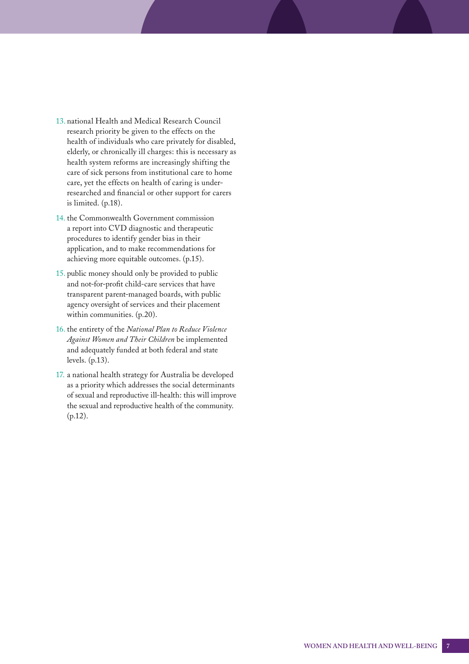- 13. national Health and Medical Research Council research priority be given to the effects on the health of individuals who care privately for disabled, elderly, or chronically ill charges: this is necessary as health system reforms are increasingly shifting the care of sick persons from institutional care to home care, yet the effects on health of caring is underresearched and financial or other support for carers is limited. [\(p.18\)](#page-17-0).
- 14. the Commonwealth Government commission a report into CVD diagnostic and therapeutic procedures to identify gender bias in their application, and to make recommendations for achieving more equitable outcomes. [\(p.15\)](#page-14-0).
- 15. public money should only be provided to public and not-for-profit child-care services that have transparent parent-managed boards, with public agency oversight of services and their placement within communities. [\(p.20\)](#page-19-0).
- 16. the entirety of the *National Plan to Reduce Violence Against Women and Their Children* be implemented and adequately funded at both federal and state levels. [\(p.13\)](#page-12-0).
- 17. a national health strategy for Australia be developed as a priority which addresses the social determinants of sexual and reproductive ill-health: this will improve the sexual and reproductive health of the community. [\(p.12\).](#page-11-0)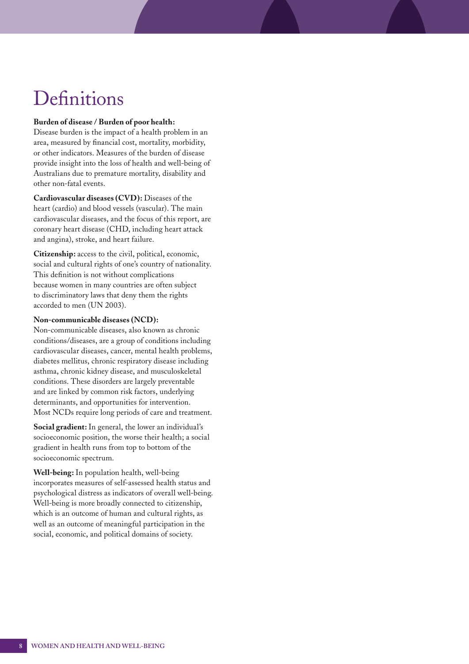# <span id="page-7-0"></span>**Definitions**

#### **Burden of disease / Burden of poor health:**

Disease burden is the impact of a health problem in an area, measured by financial cost, mortality, morbidity, or other indicators. Measures of the burden of disease provide insight into the loss of health and well-being of Australians due to premature mortality, disability and other non-fatal events.

**Cardiovascular diseases (CVD):** Diseases of the heart (cardio) and blood vessels (vascular). The main cardiovascular diseases, and the focus of this report, are coronary heart disease (CHD, including heart attack and angina), stroke, and heart failure.

**Citizenship:** access to the civil, political, economic, social and cultural rights of one's country of nationality. This definition is not without complications because women in many countries are often subject to discriminatory laws that deny them the rights accorded to men (UN 2003).

#### **Non-communicable diseases (NCD):**

Non-communicable diseases, also known as chronic conditions/diseases, are a group of conditions including cardiovascular diseases, cancer, mental health problems, diabetes mellitus, chronic respiratory disease including asthma, chronic kidney disease, and musculoskeletal conditions. These disorders are largely preventable and are linked by common risk factors, underlying determinants, and opportunities for intervention. Most NCDs require long periods of care and treatment.

**Social gradient:** In general, the lower an individual's socioeconomic position, the worse their health; a social gradient in health runs from top to bottom of the socioeconomic spectrum.

**Well-being:** In population health, well-being incorporates measures of self-assessed health status and psychological distress as indicators of overall well-being. Well-being is more broadly connected to citizenship, which is an outcome of human and cultural rights, as well as an outcome of meaningful participation in the social, economic, and political domains of society.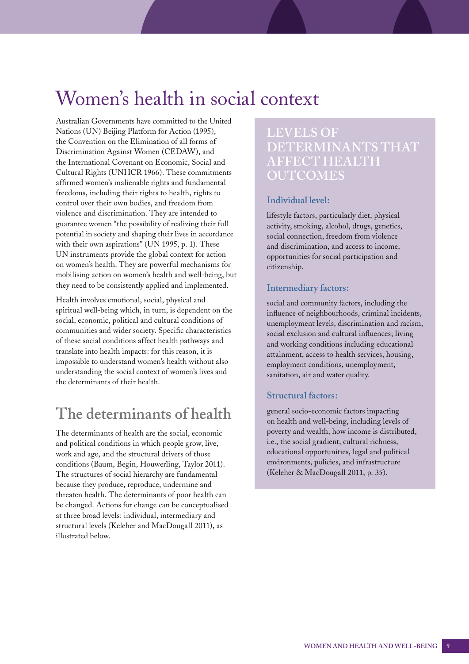## <span id="page-8-0"></span>Women's health in social context

Australian Governments have committed to the United Nations (UN) Beijing Platform for Action (1995), the Convention on the Elimination of all forms of Discrimination Against Women (CEDAW), and the International Covenant on Economic, Social and Cultural Rights (UNHCR 1966). These commitments affirmed women's inalienable rights and fundamental freedoms, including their rights to health, rights to control over their own bodies, and freedom from violence and discrimination. They are intended to guarantee women "the possibility of realizing their full potential in society and shaping their lives in accordance with their own aspirations" (UN 1995, p. 1). These UN instruments provide the global context for action on women's health. They are powerful mechanisms for mobilising action on women's health and well-being, but they need to be consistently applied and implemented.

Health involves emotional, social, physical and spiritual well-being which, in turn, is dependent on the social, economic, political and cultural conditions of communities and wider society. Specific characteristics of these social conditions affect health pathways and translate into health impacts: for this reason, it is impossible to understand women's health without also understanding the social context of women's lives and the determinants of their health.

### **The determinants of health**

The determinants of health are the social, economic and political conditions in which people grow, live, work and age, and the structural drivers of those conditions (Baum, Begin, Houwerling, Taylor 2011). The structures of social hierarchy are fundamental because they produce, reproduce, undermine and threaten health. The determinants of poor health can be changed. Actions for change can be conceptualised at three broad levels: individual, intermediary and structural levels (Keleher and MacDougall 2011), as illustrated below.

### **LEVELS OF DETERMINANTS THAT AFFECT HEALTH OUTCOMES**

#### **Individual level:**

lifestyle factors, particularly diet, physical activity, smoking, alcohol, drugs, genetics, social connection, freedom from violence and discrimination, and access to income, opportunities for social participation and citizenship.

#### **Intermediary factors:**

social and community factors, including the influence of neighbourhoods, criminal incidents, unemployment levels, discrimination and racism, social exclusion and cultural influences; living and working conditions including educational attainment, access to health services, housing, employment conditions, unemployment, sanitation, air and water quality.

#### **Structural factors:**

general socio-economic factors impacting on health and well-being, including levels of poverty and wealth, how income is distributed, i.e., the social gradient, cultural richness, educational opportunities, legal and political environments, policies, and infrastructure (Keleher & MacDougall 2011, p. 35).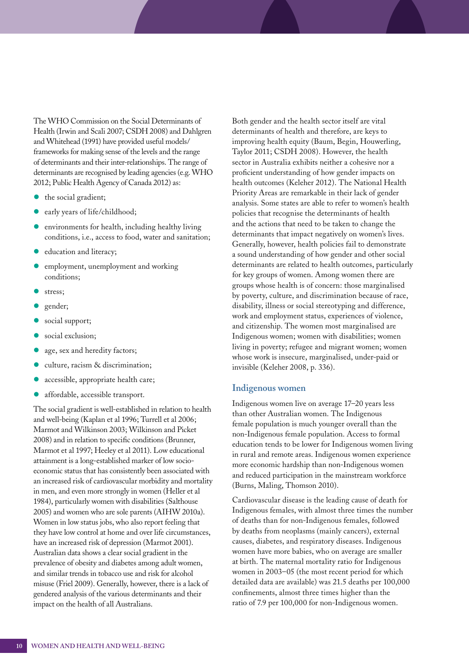<span id="page-9-0"></span>The WHO Commission on the Social Determinants of Health (Irwin and Scali 2007; CSDH 2008) and Dahlgren and Whitehead (1991) have provided useful models/ frameworks for making sense of the levels and the range of determinants and their inter-relationships. The range of determinants are recognised by leading agencies (e.g. WHO 2012; Public Health Agency of Canada 2012) as:

- the social gradient;
- early years of life/childhood;
- environments for health, including healthy living conditions, i.e., access to food, water and sanitation;
- education and literacy;
- employment, unemployment and working conditions;
- stress:
- gender;
- social support;
- social exclusion;
- age, sex and heredity factors;
- culture, racism & discrimination;
- accessible, appropriate health care;
- affordable, accessible transport.

The social gradient is well-established in relation to health and well-being (Kaplan et al 1996; Turrell et al 2006; Marmot and Wilkinson 2003; Wilkinson and Picket 2008) and in relation to specific conditions (Brunner, Marmot et al 1997; Heeley et al 2011). Low educational attainment is a long-established marker of low socioeconomic status that has consistently been associated with an increased risk of cardiovascular morbidity and mortality in men, and even more strongly in women (Heller et al 1984), particularly women with disabilities (Salthouse 2005) and women who are sole parents (AIHW 2010a). Women in low status jobs, who also report feeling that they have low control at home and over life circumstances, have an increased risk of depression (Marmot 2001). Australian data shows a clear social gradient in the prevalence of obesity and diabetes among adult women, and similar trends in tobacco use and risk for alcohol misuse (Friel 2009). Generally, however, there is a lack of gendered analysis of the various determinants and their impact on the health of all Australians.

Both gender and the health sector itself are vital determinants of health and therefore, are keys to improving health equity (Baum, Begin, Houwerling, Taylor 2011; CSDH 2008). However, the health sector in Australia exhibits neither a cohesive nor a proficient understanding of how gender impacts on health outcomes (Keleher 2012). The National Health Priority Areas are remarkable in their lack of gender analysis. Some states are able to refer to women's health policies that recognise the determinants of health and the actions that need to be taken to change the determinants that impact negatively on women's lives. Generally, however, health policies fail to demonstrate a sound understanding of how gender and other social determinants are related to health outcomes, particularly for key groups of women. Among women there are groups whose health is of concern: those marginalised by poverty, culture, and discrimination because of race, disability, illness or social stereotyping and difference, work and employment status, experiences of violence, and citizenship. The women most marginalised are Indigenous women; women with disabilities; women living in poverty; refugee and migrant women; women whose work is insecure, marginalised, under-paid or invisible (Keleher 2008, p. 336).

#### **Indigenous women**

Indigenous women live on average 17–20 years less than other Australian women. The Indigenous female population is much younger overall than the non-Indigenous female population. Access to formal education tends to be lower for Indigenous women living in rural and remote areas. Indigenous women experience more economic hardship than non-Indigenous women and reduced participation in the mainstream workforce (Burns, Maling, Thomson 2010).

Cardiovascular disease is the leading cause of death for Indigenous females, with almost three times the number of deaths than for non-Indigenous females, followed by deaths from neoplasms (mainly cancers), external causes, diabetes, and respiratory diseases. Indigenous women have more babies, who on average are smaller at birth. The maternal mortality ratio for Indigenous women in 2003–05 (the most recent period for which detailed data are available) was 21.5 deaths per 100,000 confinements, almost three times higher than the ratio of 7.9 per 100,000 for non-Indigenous women.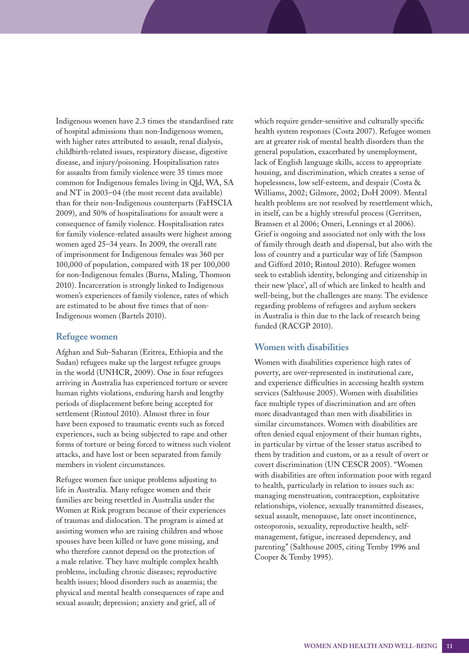<span id="page-10-0"></span>Indigenous women have 2.3 times the standardised rate of hospital admissions than non-Indigenous women, with higher rates attributed to assault, renal dialysis, childbirth-related issues, respiratory disease, digestive disease, and injury/poisoning. Hospitalisation rates for assaults from family violence were 35 times more common for Indigenous females living in Qld, WA, SA and NT in 2003–04 (the most recent data available) than for their non-Indigenous counterparts (FaHSCIA 2009), and 50% of hospitalisations for assault were a consequence of family violence. Hospitalisation rates for family violence-related assaults were highest among women aged 25–34 years. In 2009, the overall rate of imprisonment for Indigenous females was 360 per 100,000 of population, compared with 18 per 100,000 for non-Indigenous females (Burns, Maling, Thomson 2010). Incarceration is strongly linked to Indigenous women's experiences of family violence, rates of which are estimated to be about five times that of non-Indigenous women (Bartels 2010).

#### **Refugee women**

Afghan and Sub-Saharan (Eritrea, Ethiopia and the Sudan) refugees make up the largest refugee groups in the world (UNHCR, 2009). One in four refugees arriving in Australia has experienced torture or severe human rights violations, enduring harsh and lengthy periods of displacement before being accepted for settlement (Rintoul 2010). Almost three in four have been exposed to traumatic events such as forced experiences, such as being subjected to rape and other forms of torture or being forced to witness such violent attacks, and have lost or been separated from family members in violent circumstances.

Refugee women face unique problems adjusting to life in Australia. Many refugee women and their families are being resettled in Australia under the Women at Risk program because of their experiences of traumas and dislocation. The program is aimed at assisting women who are raising children and whose spouses have been killed or have gone missing, and who therefore cannot depend on the protection of a male relative. They have multiple complex health problems, including chronic diseases; reproductive health issues; blood disorders such as anaemia; the physical and mental health consequences of rape and sexual assault; depression; anxiety and grief, all of

which require gender-sensitive and culturally specific health system responses (Costa 2007). Refugee women are at greater risk of mental health disorders than the general population, exacerbated by unemployment, lack of English language skills, access to appropriate housing, and discrimination, which creates a sense of hopelessness, low self-esteem, and despair (Costa & Williams, 2002; Gilmore, 2002; DoH 2009). Mental health problems are not resolved by resettlement which, in itself, can be a highly stressful process (Gerritsen, Bramsen et al 2006; Omeri, Lennings et al 2006). Grief is ongoing and associated not only with the loss of family through death and dispersal, but also with the loss of country and a particular way of life (Sampson and Gifford 2010; Rintoul 2010). Refugee women seek to establish identity, belonging and citizenship in their new 'place', all of which are linked to health and well-being, but the challenges are many. The evidence regarding problems of refugees and asylum seekers in Australia is thin due to the lack of research being funded (RACGP 2010).

#### **Women with disabilities**

Women with disabilities experience high rates of poverty, are over-represented in institutional care, and experience difficulties in accessing health system services (Salthouse 2005). Women with disabilities face multiple types of discrimination and are often more disadvantaged than men with disabilities in similar circumstances. Women with disabilities are often denied equal enjoyment of their human rights, in particular by virtue of the lesser status ascribed to them by tradition and custom, or as a result of overt or covert discrimination (UN CESCR 2005). "Women with disabilities are often information poor with regard to health, particularly in relation to issues such as: managing menstruation, contraception, exploitative relationships, violence, sexually transmitted diseases, sexual assault, menopause, late onset incontinence, osteoporosis, sexuality, reproductive health, selfmanagement, fatigue, increased dependency, and parenting" (Salthouse 2005, citing Temby 1996 and Cooper & Temby 1995).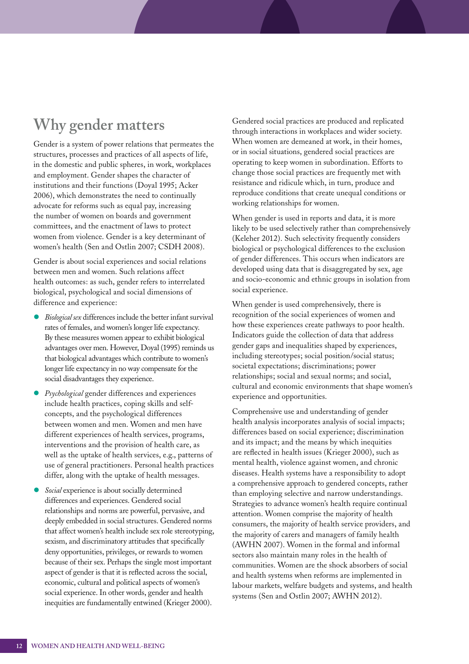### <span id="page-11-0"></span>**Why gender matters**

Gender is a system of power relations that permeates the structures, processes and practices of all aspects of life, in the domestic and public spheres, in work, workplaces and employment. Gender shapes the character of institutions and their functions (Doyal 1995; Acker 2006), which demonstrates the need to continually advocate for reforms such as equal pay, increasing the number of women on boards and government committees, and the enactment of laws to protect women from violence. Gender is a key determinant of women's health (Sen and Ostlin 2007; CSDH 2008).

Gender is about social experiences and social relations between men and women. Such relations affect health outcomes: as such, gender refers to interrelated biological, psychological and social dimensions of difference and experience:

- z *Biological sex* differences include the better infant survival rates of females, and women's longer life expectancy. By these measures women appear to exhibit biological advantages over men. However, Doyal (1995) reminds us that biological advantages which contribute to women's longer life expectancy in no way compensate for the social disadvantages they experience.
- *Psychological* gender differences and experiences include health practices, coping skills and selfconcepts, and the psychological differences between women and men. Women and men have different experiences of health services, programs, interventions and the provision of health care, as well as the uptake of health services, e.g., patterns of use of general practitioners. Personal health practices differ, along with the uptake of health messages.
- *Social* experience is about socially determined differences and experiences. Gendered social relationships and norms are powerful, pervasive, and deeply embedded in social structures. Gendered norms that affect women's health include sex role stereotyping, sexism, and discriminatory attitudes that specifically deny opportunities, privileges, or rewards to women because of their sex. Perhaps the single most important aspect of gender is that it is reflected across the social, economic, cultural and political aspects of women's social experience. In other words, gender and health inequities are fundamentally entwined (Krieger 2000).

Gendered social practices are produced and replicated through interactions in workplaces and wider society. When women are demeaned at work, in their homes, or in social situations, gendered social practices are operating to keep women in subordination. Efforts to change those social practices are frequently met with resistance and ridicule which, in turn, produce and reproduce conditions that create unequal conditions or working relationships for women.

When gender is used in reports and data, it is more likely to be used selectively rather than comprehensively (Keleher 2012). Such selectivity frequently considers biological or psychological differences to the exclusion of gender differences. This occurs when indicators are developed using data that is disaggregated by sex, age and socio-economic and ethnic groups in isolation from social experience.

When gender is used comprehensively, there is recognition of the social experiences of women and how these experiences create pathways to poor health. Indicators guide the collection of data that address gender gaps and inequalities shaped by experiences, including stereotypes; social position/social status; societal expectations; discriminations; power relationships; social and sexual norms; and social, cultural and economic environments that shape women's experience and opportunities.

Comprehensive use and understanding of gender health analysis incorporates analysis of social impacts; differences based on social experience; discrimination and its impact; and the means by which inequities are reflected in health issues (Krieger 2000), such as mental health, violence against women, and chronic diseases. Health systems have a responsibility to adopt a comprehensive approach to gendered concepts, rather than employing selective and narrow understandings. Strategies to advance women's health require continual attention. Women comprise the majority of health consumers, the majority of health service providers, and the majority of carers and managers of family health (AWHN 2007). Women in the formal and informal sectors also maintain many roles in the health of communities. Women are the shock absorbers of social and health systems when reforms are implemented in labour markets, welfare budgets and systems, and health systems (Sen and Ostlin 2007; AWHN 2012).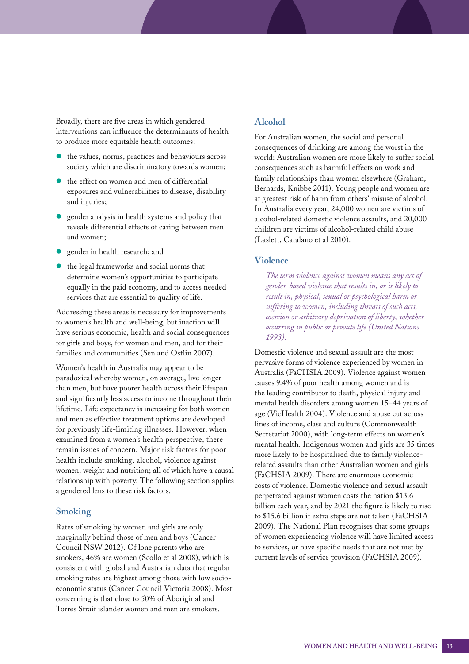<span id="page-12-0"></span>Broadly, there are five areas in which gendered interventions can influence the determinants of health to produce more equitable health outcomes:

- the values, norms, practices and behaviours across society which are discriminatory towards women;
- the effect on women and men of differential exposures and vulnerabilities to disease, disability and injuries;
- gender analysis in health systems and policy that reveals differential effects of caring between men and women;
- gender in health research; and
- the legal frameworks and social norms that determine women's opportunities to participate equally in the paid economy, and to access needed services that are essential to quality of life.

Addressing these areas is necessary for improvements to women's health and well-being, but inaction will have serious economic, health and social consequences for girls and boys, for women and men, and for their families and communities (Sen and Ostlin 2007).

Women's health in Australia may appear to be paradoxical whereby women, on average, live longer than men, but have poorer health across their lifespan and significantly less access to income throughout their lifetime. Life expectancy is increasing for both women and men as effective treatment options are developed for previously life-limiting illnesses. However, when examined from a women's health perspective, there remain issues of concern. Major risk factors for poor health include smoking, alcohol, violence against women, weight and nutrition; all of which have a causal relationship with poverty. The following section applies a gendered lens to these risk factors.

#### **Smoking**

Rates of smoking by women and girls are only marginally behind those of men and boys (Cancer Council NSW 2012). Of lone parents who are smokers, 46% are women (Scollo et al 2008), which is consistent with global and Australian data that regular smoking rates are highest among those with low socioeconomic status (Cancer Council Victoria 2008). Most concerning is that close to 50% of Aboriginal and Torres Strait islander women and men are smokers.

#### **Alcohol**

For Australian women, the social and personal consequences of drinking are among the worst in the world: Australian women are more likely to suffer social consequences such as harmful effects on work and family relationships than women elsewhere (Graham, Bernards, Knibbe 2011). Young people and women are at greatest risk of harm from others' misuse of alcohol. In Australia every year, 24,000 women are victims of alcohol-related domestic violence assaults, and 20,000 children are victims of alcohol-related child abuse (Laslett, Catalano et al 2010).

#### **Violence**

*The term violence against women means any act of gender-based violence that results in, or is likely to result in, physical, sexual or psychological harm or suffering to women, including threats of such acts, coercion or arbitrary deprivation of liberty, whether occurring in public or private life (United Nations 1993).*

Domestic violence and sexual assault are the most pervasive forms of violence experienced by women in Australia (FaCHSIA 2009). Violence against women causes 9.4% of poor health among women and is the leading contributor to death, physical injury and mental health disorders among women 15–44 years of age (VicHealth 2004). Violence and abuse cut across lines of income, class and culture (Commonwealth Secretariat 2000), with long-term effects on women's mental health. Indigenous women and girls are 35 times more likely to be hospitalised due to family violencerelated assaults than other Australian women and girls (FaCHSIA 2009). There are enormous economic costs of violence. Domestic violence and sexual assault perpetrated against women costs the nation \$13.6 billion each year, and by 2021 the figure is likely to rise to \$15.6 billion if extra steps are not taken (FaCHSIA 2009). The National Plan recognises that some groups of women experiencing violence will have limited access to services, or have specific needs that are not met by current levels of service provision (FaCHSIA 2009).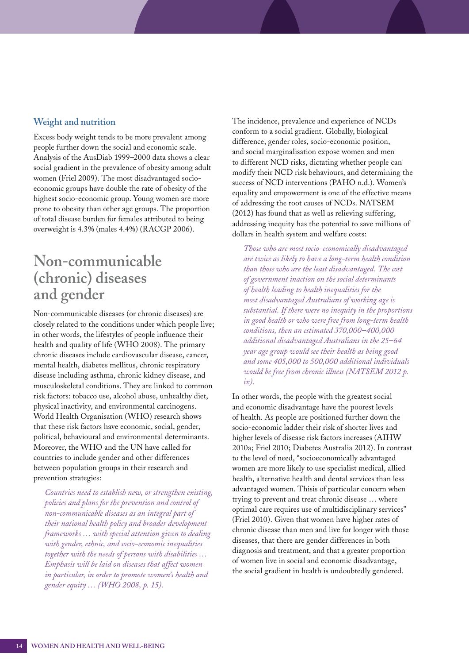#### <span id="page-13-0"></span>**Weight and nutrition**

Excess body weight tends to be more prevalent among people further down the social and economic scale. Analysis of the AusDiab 1999–2000 data shows a clear social gradient in the prevalence of obesity among adult women (Friel 2009). The most disadvantaged socioeconomic groups have double the rate of obesity of the highest socio-economic group. Young women are more prone to obesity than other age groups. The proportion of total disease burden for females attributed to being overweight is 4.3% (males 4.4%) (RACGP 2006).

### **Non-communicable (chronic) diseases and gender**

Non-communicable diseases (or chronic diseases) are closely related to the conditions under which people live; in other words, the lifestyles of people influence their health and quality of life (WHO 2008). The primary chronic diseases include cardiovascular disease, cancer, mental health, diabetes mellitus, chronic respiratory disease including asthma, chronic kidney disease, and musculoskeletal conditions. They are linked to common risk factors: tobacco use, alcohol abuse, unhealthy diet, physical inactivity, and environmental carcinogens. World Health Organisation (WHO) research shows that these risk factors have economic, social, gender, political, behavioural and environmental determinants. Moreover, the WHO and the UN have called for countries to include gender and other differences between population groups in their research and prevention strategies:

*Countries need to establish new, or strengthen existing, policies and plans for the prevention and control of non-communicable diseases as an integral part of their national health policy and broader development frameworks … with special attention given to dealing with gender, ethnic, and socio-economic inequalities together with the needs of persons with disabilities … Emphasis will be laid on diseases that affect women in particular, in order to promote women's health and gender equity … (WHO 2008, p. 15).*

The incidence, prevalence and experience of NCDs conform to a social gradient. Globally, biological difference, gender roles, socio-economic position, and social marginalisation expose women and men to different NCD risks, dictating whether people can modify their NCD risk behaviours, and determining the success of NCD interventions (PAHO n.d.). Women's equality and empowerment is one of the effective means of addressing the root causes of NCDs. NATSEM (2012) has found that as well as relieving suffering, addressing inequity has the potential to save millions of dollars in health system and welfare costs:

*Those who are most socio-economically disadvantaged are twice as likely to have a long-term health condition than those who are the least disadvantaged. The cost of government inaction on the social determinants of health leading to health inequalities for the most disadvantaged Australians of working age is substantial. If there were no inequity in the proportions in good health or who were free from long-term health conditions, then an estimated 370,000–400,000 additional disadvantaged Australians in the 25–64 year age group would see their health as being good and some 405,000 to 500,000 additional individuals would be free from chronic illness (NATSEM 2012 p.*   $ix$ ).

In other words, the people with the greatest social and economic disadvantage have the poorest levels of health. As people are positioned further down the socio-economic ladder their risk of shorter lives and higher levels of disease risk factors increases (AIHW 2010a; Friel 2010; Diabetes Australia 2012). In contrast to the level of need, "socioeconomically advantaged women are more likely to use specialist medical, allied health, alternative health and dental services than less advantaged women. Thisis of particular concern when trying to prevent and treat chronic disease … where optimal care requires use of multidisciplinary services" (Friel 2010). Given that women have higher rates of chronic disease than men and live for longer with those diseases, that there are gender differences in both diagnosis and treatment, and that a greater proportion of women live in social and economic disadvantage, the social gradient in health is undoubtedly gendered.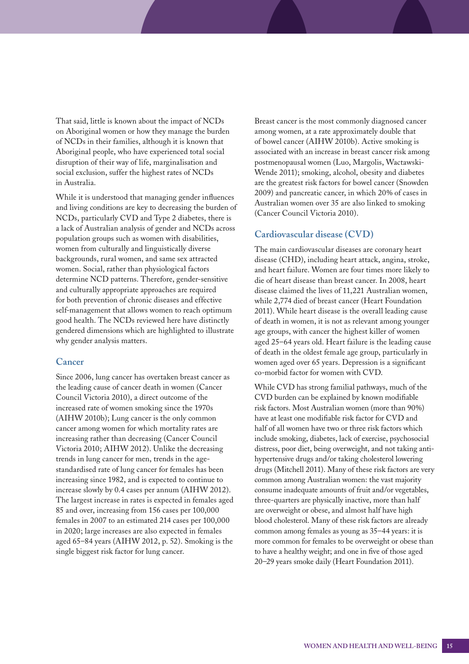<span id="page-14-0"></span>That said, little is known about the impact of NCDs on Aboriginal women or how they manage the burden of NCDs in their families, although it is known that Aboriginal people, who have experienced total social disruption of their way of life, marginalisation and social exclusion, suffer the highest rates of NCDs in Australia.

While it is understood that managing gender influences and living conditions are key to decreasing the burden of NCDs, particularly CVD and Type 2 diabetes, there is a lack of Australian analysis of gender and NCDs across population groups such as women with disabilities, women from culturally and linguistically diverse backgrounds, rural women, and same sex attracted women. Social, rather than physiological factors determine NCD patterns. Therefore, gender-sensitive and culturally appropriate approaches are required for both prevention of chronic diseases and effective self-management that allows women to reach optimum good health. The NCDs reviewed here have distinctly gendered dimensions which are highlighted to illustrate why gender analysis matters.

#### **Cancer**

Since 2006, lung cancer has overtaken breast cancer as the leading cause of cancer death in women (Cancer Council Victoria 2010), a direct outcome of the increased rate of women smoking since the 1970s (AIHW 2010b); Lung cancer is the only common cancer among women for which mortality rates are increasing rather than decreasing (Cancer Council Victoria 2010; AIHW 2012). Unlike the decreasing trends in lung cancer for men, trends in the agestandardised rate of lung cancer for females has been increasing since 1982, and is expected to continue to increase slowly by 0.4 cases per annum (AIHW 2012). The largest increase in rates is expected in females aged 85 and over, increasing from 156 cases per 100,000 females in 2007 to an estimated 214 cases per 100,000 in 2020; large increases are also expected in females aged 65–84 years (AIHW 2012, p. 52). Smoking is the single biggest risk factor for lung cancer.

Breast cancer is the most commonly diagnosed cancer among women, at a rate approximately double that of bowel cancer (AIHW 2010b). Active smoking is associated with an increase in breast cancer risk among postmenopausal women (Luo, Margolis, Wactawski-Wende 2011); smoking, alcohol, obesity and diabetes are the greatest risk factors for bowel cancer (Snowden 2009) and pancreatic cancer, in which 20% of cases in Australian women over 35 are also linked to smoking (Cancer Council Victoria 2010).

#### **Cardiovascular disease (CVD)**

The main cardiovascular diseases are coronary heart disease (CHD), including heart attack, angina, stroke, and heart failure. Women are four times more likely to die of heart disease than breast cancer. In 2008, heart disease claimed the lives of 11,221 Australian women, while 2,774 died of breast cancer (Heart Foundation 2011). While heart disease is the overall leading cause of death in women, it is not as relevant among younger age groups, with cancer the highest killer of women aged 25–64 years old. Heart failure is the leading cause of death in the oldest female age group, particularly in women aged over 65 years. Depression is a significant co-morbid factor for women with CVD.

While CVD has strong familial pathways, much of the CVD burden can be explained by known modifiable risk factors. Most Australian women (more than 90%) have at least one modifiable risk factor for CVD and half of all women have two or three risk factors which include smoking, diabetes, lack of exercise, psychosocial distress, poor diet, being overweight, and not taking antihypertensive drugs and/or taking cholesterol lowering drugs (Mitchell 2011). Many of these risk factors are very common among Australian women: the vast majority consume inadequate amounts of fruit and/or vegetables, three-quarters are physically inactive, more than half are overweight or obese, and almost half have high blood cholesterol. Many of these risk factors are already common among females as young as 35–44 years: it is more common for females to be overweight or obese than to have a healthy weight; and one in five of those aged 20–29 years smoke daily (Heart Foundation 2011).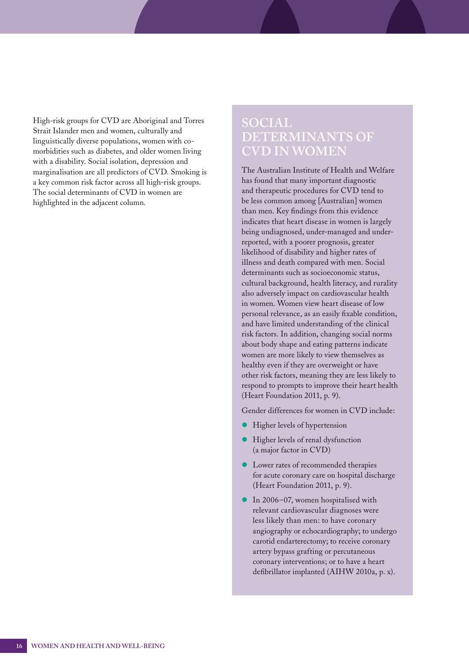High-risk groups for CVD are Aboriginal and Torres Strait Islander men and women, culturally and linguistically diverse populations, women with comorbidities such as diabetes, and older women living with a disability. Social isolation, depression and marginalisation are all predictors of CVD. Smoking is a key common risk factor across all high-risk groups. The social determinants of CVD in women are highlighted in the adjacent column.

### **SOCIAL DETERMINANTS OF CVD IN WOMEN**

The Australian Institute of Health and Welfare has found that many important diagnostic and therapeutic procedures for CVD tend to be less common among [Australian] women than men. Key findings from this evidence indicates that heart disease in women is largely being undiagnosed, under-managed and underreported, with a poorer prognosis, greater likelihood of disability and higher rates of illness and death compared with men. Social determinants such as socioeconomic status, cultural background, health literacy, and rurality also adversely impact on cardiovascular health in women. Women view heart disease of low personal relevance, as an easily fixable condition, and have limited understanding of the clinical risk factors. In addition, changing social norms about body shape and eating patterns indicate women are more likely to view themselves as healthy even if they are overweight or have other risk factors, meaning they are less likely to respond to prompts to improve their heart health (Heart Foundation 2011, p. 9).

Gender differences for women in CVD include:

- Higher levels of hypertension
- Higher levels of renal dysfunction (a major factor in CVD)
- Lower rates of recommended therapies for acute coronary care on hospital discharge (Heart Foundation 2011, p. 9).
- $\bullet$  In 2006–07, women hospitalised with relevant cardiovascular diagnoses were less likely than men: to have coronary angiography or echocardiography; to undergo carotid endarterectomy; to receive coronary artery bypass grafting or percutaneous coronary interventions; or to have a heart defibrillator implanted (AIHW 2010a, p. x).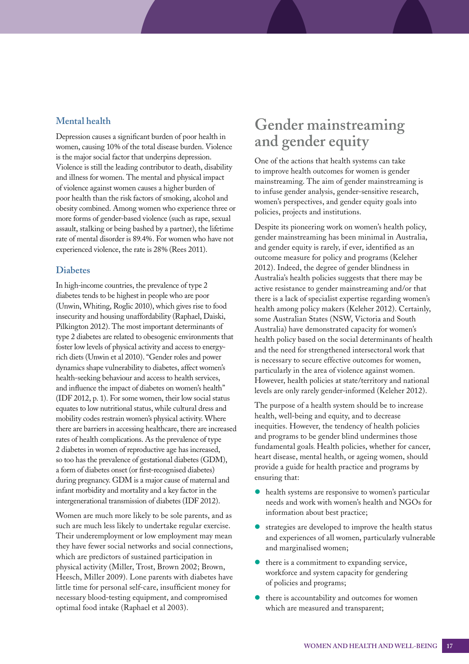#### <span id="page-16-0"></span>**Mental health**

Depression causes a significant burden of poor health in women, causing 10% of the total disease burden. Violence is the major social factor that underpins depression. Violence is still the leading contributor to death, disability and illness for women. The mental and physical impact of violence against women causes a higher burden of poor health than the risk factors of smoking, alcohol and obesity combined. Among women who experience three or more forms of gender-based violence (such as rape, sexual assault, stalking or being bashed by a partner), the lifetime rate of mental disorder is 89.4%. For women who have not experienced violence, the rate is 28% (Rees 2011).

#### **Diabetes**

In high-income countries, the prevalence of type 2 diabetes tends to be highest in people who are poor (Unwin, Whiting, Roglic 2010), which gives rise to food insecurity and housing unaffordability (Raphael, Daiski, Pilkington 2012). The most important determinants of type 2 diabetes are related to obesogenic environments that foster low levels of physical activity and access to energyrich diets (Unwin et al 2010). "Gender roles and power dynamics shape vulnerability to diabetes, affect women's health-seeking behaviour and access to health services, and influence the impact of diabetes on women's health" (IDF 2012, p. 1). For some women, their low social status equates to low nutritional status, while cultural dress and mobility codes restrain women's physical activity. Where there are barriers in accessing healthcare, there are increased rates of health complications. As the prevalence of type 2 diabetes in women of reproductive age has increased, so too has the prevalence of gestational diabetes (GDM), a form of diabetes onset (or first-recognised diabetes) during pregnancy. GDM is a major cause of maternal and infant morbidity and mortality and a key factor in the intergenerational transmission of diabetes (IDF 2012).

Women are much more likely to be sole parents, and as such are much less likely to undertake regular exercise. Their underemployment or low employment may mean they have fewer social networks and social connections, which are predictors of sustained participation in physical activity (Miller, Trost, Brown 2002; Brown, Heesch, Miller 2009). Lone parents with diabetes have little time for personal self-care, insufficient money for necessary blood-testing equipment, and compromised optimal food intake (Raphael et al 2003).

### **Gender mainstreaming and gender equity**

One of the actions that health systems can take to improve health outcomes for women is gender mainstreaming. The aim of gender mainstreaming is to infuse gender analysis, gender-sensitive research, women's perspectives, and gender equity goals into policies, projects and institutions.

Despite its pioneering work on women's health policy, gender mainstreaming has been minimal in Australia, and gender equity is rarely, if ever, identified as an outcome measure for policy and programs (Keleher 2012). Indeed, the degree of gender blindness in Australia's health policies suggests that there may be active resistance to gender mainstreaming and/or that there is a lack of specialist expertise regarding women's health among policy makers (Keleher 2012). Certainly, some Australian States (NSW, Victoria and South Australia) have demonstrated capacity for women's health policy based on the social determinants of health and the need for strengthened intersectoral work that is necessary to secure effective outcomes for women, particularly in the area of violence against women. However, health policies at state/territory and national levels are only rarely gender-informed (Keleher 2012).

The purpose of a health system should be to increase health, well-being and equity, and to decrease inequities. However, the tendency of health policies and programs to be gender blind undermines those fundamental goals. Health policies, whether for cancer, heart disease, mental health, or ageing women, should provide a guide for health practice and programs by ensuring that:

- health systems are responsive to women's particular needs and work with women's health and NGOs for information about best practice;
- strategies are developed to improve the health status and experiences of all women, particularly vulnerable and marginalised women;
- there is a commitment to expanding service, workforce and system capacity for gendering of policies and programs;
- $\bullet$  there is accountability and outcomes for women which are measured and transparent;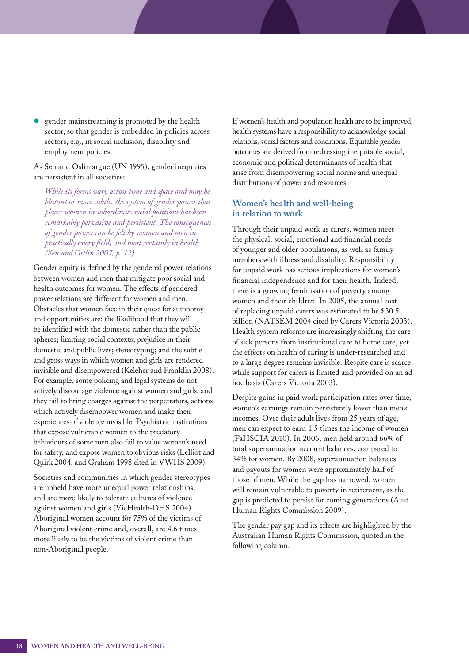<span id="page-17-0"></span>z gender mainstreaming is promoted by the health sector, so that gender is embedded in policies across sectors, e.g., in social inclusion, disability and employment policies.

As Sen and Oslin argue (UN 1995), gender inequities are persistent in all societies:

*While its forms vary across time and space and may be blatant or more subtle, the system of gender power that places women in subordinate social positions has been remarkably pervasive and persistent. The consequences of gender power can be felt by women and men in practically every field, and most certainly in health (Sen and Ostlin 2007, p. 12).* 

Gender equity is defined by the gendered power relations between women and men that mitigate poor social and health outcomes for women. The effects of gendered power relations are different for women and men. Obstacles that women face in their quest for autonomy and opportunities are: the likelihood that they will be identified with the domestic rather than the public spheres; limiting social contexts; prejudice in their domestic and public lives; stereotyping; and the subtle and gross ways in which women and girls are rendered invisible and disempowered (Keleher and Franklin 2008). For example, some policing and legal systems do not actively discourage violence against women and girls, and they fail to bring charges against the perpetrators, actions which actively disempower women and make their experiences of violence invisible. Psychiatric institutions that expose vulnerable women to the predatory behaviours of some men also fail to value women's need for safety, and expose women to obvious risks (Lelliot and Quirk 2004, and Graham 1998 cited in VWHS 2009).

Societies and communities in which gender stereotypes are upheld have more unequal power relationships, and are more likely to tolerate cultures of violence against women and girls (VicHealth-DHS 2004). Aboriginal women account for 75% of the victims of Aboriginal violent crime and, overall, are 4.6 times more likely to be the victims of violent crime than non-Aboriginal people.

If women's health and population health are to be improved, health systems have a responsibility to acknowledge social relations, social factors and conditions. Equitable gender outcomes are derived from redressing inequitable social, economic and political determinants of health that arise from disempowering social norms and unequal distributions of power and resources.

#### **Women's health and well-being in relation to work**

Through their unpaid work as carers, women meet the physical, social, emotional and financial needs of younger and older populations, as well as family members with illness and disability. Responsibility for unpaid work has serious implications for women's financial independence and for their health. Indeed, there is a growing feminisation of poverty among women and their children. In 2005, the annual cost of replacing unpaid carers was estimated to be \$30.5 billion (NATSEM 2004 cited by Carers Victoria 2003). Health system reforms are increasingly shifting the care of sick persons from institutional care to home care, yet the effects on health of caring is under-researched and to a large degree remains invisible. Respite care is scarce, while support for carers is limited and provided on an ad hoc basis (Carers Victoria 2003).

Despite gains in paid work participation rates over time, women's earnings remain persistently lower than men's incomes. Over their adult lives from 25 years of age, men can expect to earn 1.5 times the income of women (FaHSCIA 2010). In 2006, men held around 66% of total superannuation account balances, compared to 34% for women. By 2008, superannuation balances and payouts for women were approximately half of those of men. While the gap has narrowed, women will remain vulnerable to poverty in retirement, as the gap is predicted to persist for coming generations (Aust Human Rights Commission 2009).

The gender pay gap and its effects are highlighted by the Australian Human Rights Commission, quoted in the following column.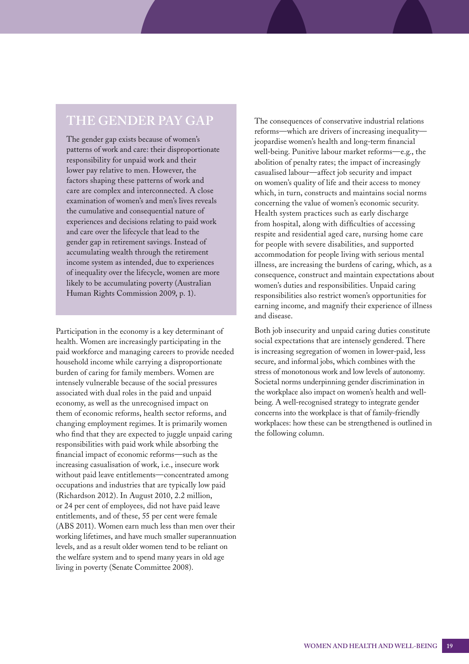### <span id="page-18-0"></span>**THE GENDER PAY GAP**

The gender gap exists because of women's patterns of work and care: their disproportionate responsibility for unpaid work and their lower pay relative to men. However, the factors shaping these patterns of work and care are complex and interconnected. A close examination of women's and men's lives reveals the cumulative and consequential nature of experiences and decisions relating to paid work and care over the lifecycle that lead to the gender gap in retirement savings. Instead of accumulating wealth through the retirement income system as intended, due to experiences of inequality over the lifecycle, women are more likely to be accumulating poverty (Australian Human Rights Commission 2009, p. 1).

Participation in the economy is a key determinant of health. Women are increasingly participating in the paid workforce and managing careers to provide needed household income while carrying a disproportionate burden of caring for family members. Women are intensely vulnerable because of the social pressures associated with dual roles in the paid and unpaid economy, as well as the unrecognised impact on them of economic reforms, health sector reforms, and changing employment regimes. It is primarily women who find that they are expected to juggle unpaid caring responsibilities with paid work while absorbing the financial impact of economic reforms—such as the increasing casualisation of work, i.e., insecure work without paid leave entitlements—concentrated among occupations and industries that are typically low paid (Richardson 2012). In August 2010, 2.2 million, or 24 per cent of employees, did not have paid leave entitlements, and of these, 55 per cent were female (ABS 2011). Women earn much less than men over their working lifetimes, and have much smaller superannuation levels, and as a result older women tend to be reliant on the welfare system and to spend many years in old age living in poverty (Senate Committee 2008).

The consequences of conservative industrial relations reforms—which are drivers of increasing inequality jeopardise women's health and long-term financial well-being. Punitive labour market reforms—e.g., the abolition of penalty rates; the impact of increasingly casualised labour—affect job security and impact on women's quality of life and their access to money which, in turn, constructs and maintains social norms concerning the value of women's economic security. Health system practices such as early discharge from hospital, along with difficulties of accessing respite and residential aged care, nursing home care for people with severe disabilities, and supported accommodation for people living with serious mental illness, are increasing the burdens of caring, which, as a consequence, construct and maintain expectations about women's duties and responsibilities. Unpaid caring responsibilities also restrict women's opportunities for earning income, and magnify their experience of illness and disease.

Both job insecurity and unpaid caring duties constitute social expectations that are intensely gendered. There is increasing segregation of women in lower-paid, less secure, and informal jobs, which combines with the stress of monotonous work and low levels of autonomy. Societal norms underpinning gender discrimination in the workplace also impact on women's health and wellbeing. A well-recognised strategy to integrate gender concerns into the workplace is that of family-friendly workplaces: how these can be strengthened is outlined in the following column.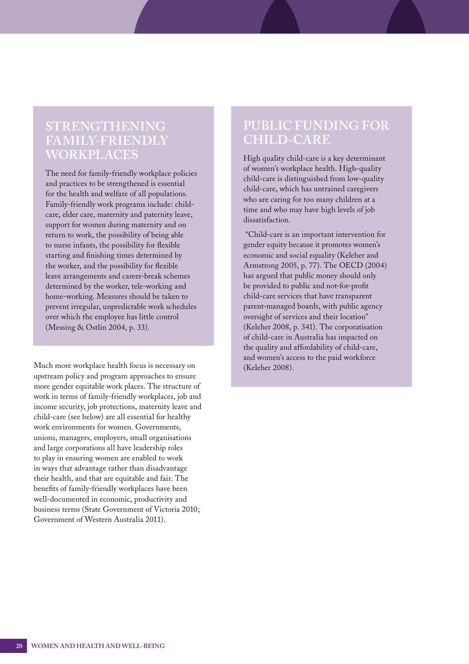### <span id="page-19-0"></span>**STRENGTHENING FAMILY-FRIENDLY WORKPLACES**

The need for family-friendly workplace policies and practices to be strengthened is essential for the health and welfare of all populations. Family-friendly work programs include: childcare, elder care, maternity and paternity leave, support for women during maternity and on return to work, the possibility of being able to nurse infants, the possibility for flexible starting and finishing times determined by the worker, and the possibility for flexible leave arrangements and career-break schemes determined by the worker, tele-working and home-working. Measures should be taken to prevent irregular, unpredictable work schedules over which the employee has little control (Messing & Ostlin 2004, p. 33).

Much more workplace health focus is necessary on upstream policy and program approaches to ensure more gender equitable work places. The structure of work in terms of family-friendly workplaces, job and income security, job protections, maternity leave and child-care (see below) are all essential for healthy work environments for women. Governments, unions, managers, employers, small organisations and large corporations all have leadership roles to play in ensuring women are enabled to work in ways that advantage rather than disadvantage their health, and that are equitable and fair. The benefits of family-friendly workplaces have been well-documented in economic, productivity and business terms (State Government of Victoria 2010; Government of Western Australia 2011).

### **PUBLIC FUNDING FOR CHILD-CARE**

High quality child-care is a key determinant of women's workplace health. High-quality child-care is distinguished from low-quality child-care, which has untrained caregivers who are caring for too many children at a time and who may have high levels of job dissatisfaction.

 "Child-care is an important intervention for gender equity because it promotes women's economic and social equality (Keleher and Armstrong 2005, p. 77). The OECD (2004) has argued that public money should only be provided to public and not-for-profit child-care services that have transparent parent-managed boards, with public agency oversight of services and their location" (Keleher 2008, p. 341). The corporatisation of child-care in Australia has impacted on the quality and affordability of child-care, and women's access to the paid workforce (Keleher 2008).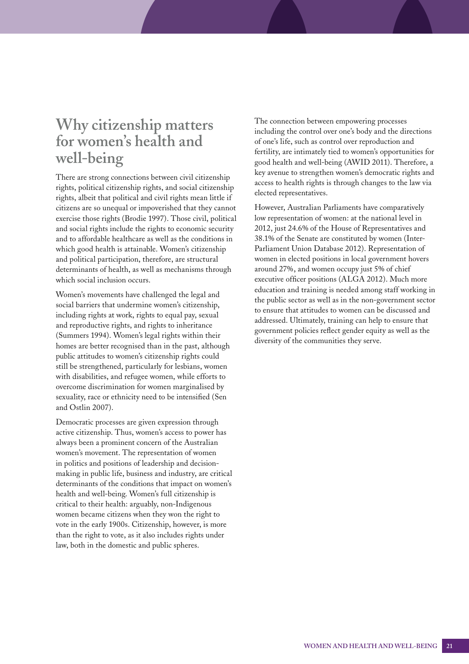### <span id="page-20-0"></span>**Why citizenship matters for women's health and well-being**

There are strong connections between civil citizenship rights, political citizenship rights, and social citizenship rights, albeit that political and civil rights mean little if citizens are so unequal or impoverished that they cannot exercise those rights (Brodie 1997). Those civil, political and social rights include the rights to economic security and to affordable healthcare as well as the conditions in which good health is attainable. Women's citizenship and political participation, therefore, are structural determinants of health, as well as mechanisms through which social inclusion occurs.

Women's movements have challenged the legal and social barriers that undermine women's citizenship, including rights at work, rights to equal pay, sexual and reproductive rights, and rights to inheritance (Summers 1994). Women's legal rights within their homes are better recognised than in the past, although public attitudes to women's citizenship rights could still be strengthened, particularly for lesbians, women with disabilities, and refugee women, while efforts to overcome discrimination for women marginalised by sexuality, race or ethnicity need to be intensified (Sen and Ostlin 2007).

Democratic processes are given expression through active citizenship. Thus, women's access to power has always been a prominent concern of the Australian women's movement. The representation of women in politics and positions of leadership and decisionmaking in public life, business and industry, are critical determinants of the conditions that impact on women's health and well-being. Women's full citizenship is critical to their health: arguably, non-Indigenous women became citizens when they won the right to vote in the early 1900s. Citizenship, however, is more than the right to vote, as it also includes rights under law, both in the domestic and public spheres.

The connection between empowering processes including the control over one's body and the directions of one's life, such as control over reproduction and fertility, are intimately tied to women's opportunities for good health and well-being (AWID 2011). Therefore, a key avenue to strengthen women's democratic rights and access to health rights is through changes to the law via elected representatives.

However, Australian Parliaments have comparatively low representation of women: at the national level in 2012, just 24.6% of the House of Representatives and 38.1% of the Senate are constituted by women (Inter-Parliament Union Database 2012). Representation of women in elected positions in local government hovers around 27%, and women occupy just 5% of chief executive officer positions (ALGA 2012). Much more education and training is needed among staff working in the public sector as well as in the non-government sector to ensure that attitudes to women can be discussed and addressed. Ultimately, training can help to ensure that government policies reflect gender equity as well as the diversity of the communities they serve.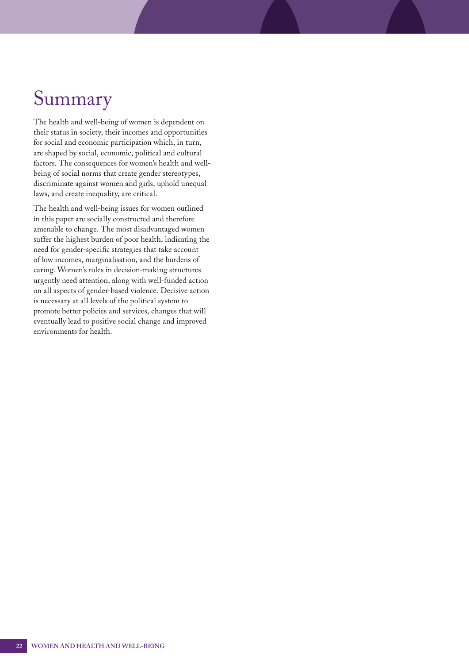# <span id="page-21-0"></span>Summary

The health and well-being of women is dependent on their status in society, their incomes and opportunities for social and economic participation which, in turn, are shaped by social, economic, political and cultural factors. The consequences for women's health and wellbeing of social norms that create gender stereotypes, discriminate against women and girls, uphold unequal laws, and create inequality, are critical.

The health and well-being issues for women outlined in this paper are socially constructed and therefore amenable to change. The most disadvantaged women suffer the highest burden of poor health, indicating the need for gender-specific strategies that take account of low incomes, marginalisation, and the burdens of caring. Women's roles in decision-making structures urgently need attention, along with well-funded action on all aspects of gender-based violence. Decisive action is necessary at all levels of the political system to promote better policies and services, changes that will eventually lead to positive social change and improved environments for health.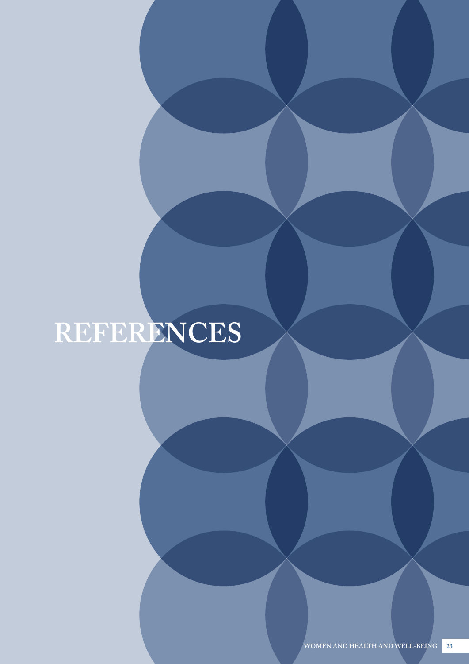# <span id="page-22-0"></span>**REFERENCES**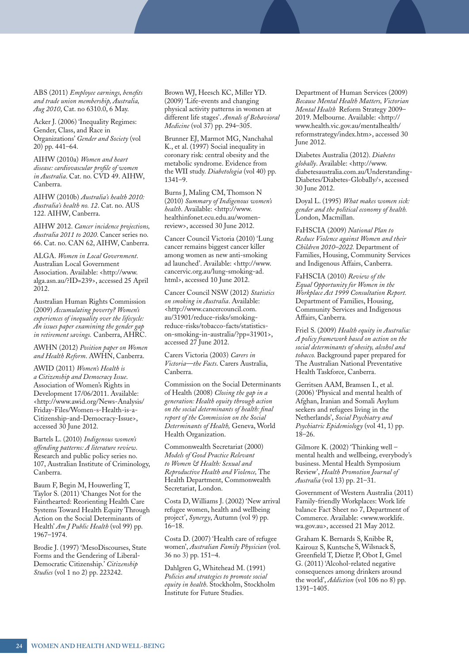ABS (2011) *Employee earnings, benefits and trade union membership, Australia, Aug 2010*, Cat. no 6310.0, 6 May.

Acker J. (2006) 'Inequality Regimes: Gender, Class, and Race in Organizations' *Gender and Society* (vol 20) pp. 441–64.

AIHW (2010a) *Women and heart disease: cardiovascular profile of women in Australia*. Cat. no. CVD 49. AIHW, Canberra.

AIHW (2010b) *Australia's health 2010: Australia's health no. 12*. Cat. no. AUS 122. AIHW, Canberra.

AIHW 2012. *Cancer incidence projections, Australia 2011 to 2020*. Cancer series no. 66. Cat. no. CAN 62, AIHW, Canberra.

ALGA. *Women in Local Government*. Australian Local Government Association. Available: <[http://www.](http://www.alga.asn.au/?ID=239) [alga.asn.au/?ID=239>](http://www.alga.asn.au/?ID=239), accessed 25 April 2012.

Australian Human Rights Commission (2009) *Accumulating poverty? Women's experiences of inequality over the lifecycle: An issues paper examining the gender gap in retirement savings.* Canberra, AHRC.

AWHN (2012) *Position paper on Women and Health Reform*. AWHN, Canberra.

AWID (2011) *Women's Health is a Citizenship and Democracy Issue*. Association of Women's Rights in Development 17/06/2011. Available: [<http://www.awid.org/News-Analysis/](http://www.awid.org/News-Analysis/Friday-Files/Women-s-Health-is-a-Citizenship-and-Democracy-Issue) [Friday-Files/Women-s-Health-is-a-](http://www.awid.org/News-Analysis/Friday-Files/Women-s-Health-is-a-Citizenship-and-Democracy-Issue)[Citizenship-and-Democracy-Issue](http://www.awid.org/News-Analysis/Friday-Files/Women-s-Health-is-a-Citizenship-and-Democracy-Issue)>, accessed 30 June 2012.

Bartels L. (2010) *Indigenous women's offending patterns: A literature review*. Research and public policy series no. 107, Australian Institute of Criminology, Canberra.

Baum F, Begin M, Houwerling T, Taylor S. (2011) 'Changes Not for the Fainthearted: Reorienting Health Care Systems Toward Health Equity Through Action on the Social Determinants of Health' *Am J Public Health* (vol 99) pp. 1967–1974.

Brodie J. (1997) 'MesoDiscourses, State Forms and the Gendering of Liberal-Democratic Citizenship.' *Citizenship Studies* (vol 1 no 2) pp. 223242.

Brown WJ, Heesch KC, Miller YD. (2009) 'Life-events and changing physical activity patterns in women at different life stages'. *Annals of Behavioral Medicine* (vol 37) pp. 294–305.

Brunner EJ, Marmot MG, Nanchahal K., et al. (1997) Social inequality in coronary risk: central obesity and the metabolic syndrome. Evidence from the WII study. *Diabetologia* (vol 40) pp. 1341–9.

Burns J, Maling CM, Thomson N (2010) *Summary of Indigenous women's health*. Available: [<http://www.](http://www.healthinfonet.ecu.edu.au/women-review) [healthinfonet.ecu.edu.au/women](http://www.healthinfonet.ecu.edu.au/women-review)[review](http://www.healthinfonet.ecu.edu.au/women-review)>, accessed 30 June 2012.

Cancer Council Victoria (2010) 'Lung cancer remains biggest cancer killer among women as new anti-smoking ad launched'. Available: <[http://www.](http://www.cancervic.org.au/lung-smoking-ad.html) [cancervic.org.au/lung-smoking-ad.](http://www.cancervic.org.au/lung-smoking-ad.html) [html](http://www.cancervic.org.au/lung-smoking-ad.html)>, accessed 10 June 2012.

Cancer Council NSW (2012) *Statistics on smoking in Australia*. Available: [<http://www.cancercouncil.com.](http://www.cancercouncil.com.au/31901/reduce-risks/smoking-reduce-risks/tobacco-facts/statistics-on-smoking-in-australia/?pp=31901) [au/31901/reduce-risks/smoking](http://www.cancercouncil.com.au/31901/reduce-risks/smoking-reduce-risks/tobacco-facts/statistics-on-smoking-in-australia/?pp=31901)[reduce-risks/tobacco-facts/statistics](http://www.cancercouncil.com.au/31901/reduce-risks/smoking-reduce-risks/tobacco-facts/statistics-on-smoking-in-australia/?pp=31901)[on-smoking-in-australia/?pp=31901>](http://www.cancercouncil.com.au/31901/reduce-risks/smoking-reduce-risks/tobacco-facts/statistics-on-smoking-in-australia/?pp=31901), accessed 27 June 2012.

Carers Victoria (2003) *Carers in Victoria—the Facts*. Carers Australia, Canberra.

Commission on the Social Determinants of Health (2008) *Closing the gap in a generation: Health equity through action on the social determinants of health: final report of the Commission on the Social Determinants of Health,* Geneva, World Health Organization.

Commonwealth Secretariat (2000) *Models of Good Practice Relevant to Women & Health: Sexual and Reproductive Health and Violence,* The Health Department, Commonwealth Secretariat, London.

Costa D, Williams J. (2002) 'New arrival refugee women, health and wellbeing project', *Synergy*, Autumn (vol 9) pp. 16–18.

Costa D. (2007) 'Health care of refugee women', *Australian Family Physician* (vol. 36 no 3) pp. 151–4.

Dahlgren G, Whitehead M. (1991) *Policies and strategies to promote social equity in health*. Stockholm, Stockholm Institute for Future Studies.

Department of Human Services (2009) *Because Mental Health Matters, Victorian Mental Health* Reform Strategy 2009– 2019. Melbourne. Available: [<http://](http://www.health.vic.gov.au/mentalhealth/reformstrategy/index.htm) [www.health.vic.gov.au/mentalhealth/](http://www.health.vic.gov.au/mentalhealth/reformstrategy/index.htm) [reformstrategy/index.htm>](http://www.health.vic.gov.au/mentalhealth/reformstrategy/index.htm), accessed 30 June 2012.

Diabetes Australia (2012). *Diabetes globally*. Available: <[http://www.](http://www.diabetesaustralia.com.au/Understanding-Diabetes/Diabetes-Globally/) [diabetesaustralia.com.au/Understanding-](http://www.diabetesaustralia.com.au/Understanding-Diabetes/Diabetes-Globally/)[Diabetes/Diabetes-Globally/>](http://www.diabetesaustralia.com.au/Understanding-Diabetes/Diabetes-Globally/), accessed 30 June 2012.

Doyal L. (1995) *What makes women sick: gender and the political economy of health.*  London, Macmillan.

FaHSCIA (2009) *National Plan to Reduce Violence against Women and their Children 2010–2022.* Department of Families, Housing, Community Services and Indigenous Affairs, Canberra.

FaHSCIA (2010) *Review of the Equal Opportunity for Women in the Workplace Act 1999 Consultation Report.* Department of Families, Housing, Community Services and Indigenous Affairs, Canberra.

Friel S. (2009) *Health equity in Australia: A policy framework based on action on the social determinants of obesity, alcohol and tobacco.* Background paper prepared for The Australian National Preventative Health Taskforce, Canberra.

Gerritsen AAM, Bramsen I., et al. (2006) 'Physical and mental health of Afghan, Iranian and Somali Asylum seekers and refugees living in the Netherlands', *Social Psychiatry and Psychiatric Epidemiology* (vol 41, 1) pp. 18–26.

Gilmore K. (2002) 'Thinking well – mental health and wellbeing, everybody's business. Mental Health Symposium Review', *Health Promotion Journal of Australia* (vol 13) pp. 21–31.

Government of Western Australia (2011) Family-friendly Workplaces: Work life balance Fact Sheet no 7, Department of Commerce. Available: <[www.worklife.](http://www.worklife.wa.gov.au) [wa.gov.au](http://www.worklife.wa.gov.au)>, accessed 21 May 2012.

Graham K. Bernards S, Knibbe R, Kairouz S, Kuntsche S, Wilsnack S, Greenfield T, Dietze P, Obot I, Gmel G. (2011) 'Alcohol-related negative consequences among drinkers around the world', *Addiction* (vol 106 no 8) pp. 1391–1405.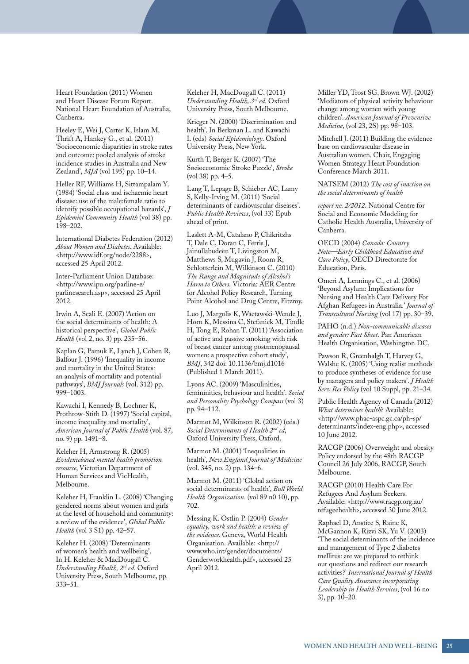Heart Foundation (2011) Women and Heart Disease Forum Report. National Heart Foundation of Australia, Canberra.

Heeley E, Wei J, Carter K, Islam M, Thrift A, Hankey G., et al. (2011) 'Socioeconomic disparities in stroke rates and outcome: pooled analysis of stroke incidence studies in Australia and New Zealand', *MJA* (vol 195) pp. 10–14.

Heller RF, Williams H, Sittampalam Y. (1984) 'Social class and ischaemic heart disease: use of the male:female ratio to identify possible occupational hazards', *J Epidemiol Community Health* (vol 38) pp. 198–202.

International Diabetes Federation (2012) *About Women and Diabetes*. Available: [<http://www.idf.org/node/2288](http://www.idf.org/node/2288)>, accessed 25 April 2012.

Inter-Parliament Union Database: [<http://www.ipu.org/parline-e/](http://www.ipu.org/parline-e/parlinesearch.asp) [parlinesearch.asp](http://www.ipu.org/parline-e/parlinesearch.asp)>, accessed 25 April 2012.

Irwin A, Scali E. (2007) 'Action on the social determinants of health: A historical perspective', *Global Public Health* (vol 2, no. 3) pp. 235–56.

Kaplan G, Pamuk E, Lynch J, Cohen R, Balfour J. (1996) 'Inequality in income and mortality in the United States: an analysis of mortality and potential pathways', *BMJ Journals* (vol. 312) pp. 999–1003.

Kawachi I, Kennedy B, Lochner K, Prothrow-Stith D. (1997) 'Social capital, income inequality and mortality', *American Journal of Public Health* (vol. 87, no. 9) pp. 1491–8.

Keleher H, Armstrong R. (2005) *Evidencebased mental health promotion resource*, Victorian Department of Human Services and VicHealth, Melbourne.

Keleher H, Franklin L. (2008) 'Changing gendered norms about women and girls at the level of household and community: a review of the evidence', *Global Public Health* (vol 3 S1) pp. 42–57.

Keleher H. (2008) 'Determinants of women's health and wellbeing'. In H. Keleher & MacDougall C. *Understanding Health, 2rd ed.* Oxford University Press, South Melbourne, pp. 333–51.

Keleher H, MacDougall C. (2011) *Understanding Health, 3rd ed.* Oxford University Press, South Melbourne.

Krieger N. (2000) 'Discrimination and health'. In Berkman L. and Kawachi I. (eds) *Social Epidemiology*. Oxford University Press, New York.

Kurth T, Berger K. (2007) 'The Socioeconomic Stroke Puzzle', *Stroke* (vol 38) pp. 4–5.

Lang T, Lepage B, Schieber AC, Lamy S, Kelly-Irving M. (2011) 'Social determinants of cardiovascular diseases'. *Public Health Reviews*, (vol 33) Epub ahead of print.

Laslett A-M, Catalano P, Chikritzhs T, Dale C, Doran C, Ferris J, Jainullabudeen T, Livingston M, Matthews S, Mugavin J, Room R, Schlotterlein M, Wilkinson C. (2010) *The Range and Magnitude of Alcohol's Harm to Others.* Victoria: AER Centre for Alcohol Policy Research, Turning Point Alcohol and Drug Centre, Fitzroy.

Luo J, Margolis K, Wactawski-Wende J, Horn K, Messina C, Stefanick M, Tindle H, Tong E, Rohan T. (2011) 'Association of active and passive smoking with risk of breast cancer among postmenopausal women: a prospective cohort study', *BMJ*, 342 doi: 10.1136/bmj.d1016 (Published 1 March 2011).

Lyons AC. (2009) 'Masculinities, femininities, behaviour and health'. *Social and Personality Psychology Compass* (vol 3) pp. 94–112.

Marmot M, Wilkinson R. (2002) (eds.) *Social Determinants of Health 2nd ed*, Oxford University Press, Oxford.

Marmot M. (2001) 'Inequalities in health', *New England Journal of Medicine* (vol. 345, no. 2) pp. 134–6.

Marmot M. (2011) 'Global action on social determinants of health', *Bull World Health Organization.* (vol 89 n0 10), pp. 702.

Messing K. Ostlin P. (2004) *Gender equality, work and health: a review of the evidence*. Geneva, World Health Organisation. Available: [<http://](http://www.who.int/gender/documents/Genderworkhealth.pdf) [www.who.int/gender/documents/](http://www.who.int/gender/documents/Genderworkhealth.pdf) [Genderworkhealth.pdf](http://www.who.int/gender/documents/Genderworkhealth.pdf)>, accessed 25 April 2012.

Miller YD, Trost SG, Brown WJ. (2002) 'Mediators of physical activity behaviour change among women with young children'. *American Journal of Preventive Medicine*, (vol 23, 2S) pp. 98–103.

Mitchell J. (2011) Building the evidence base on cardiovascular disease in Australian women. Chair, Engaging Women Strategy Heart Foundation Conference March 2011.

NATSEM (2012) *The cost of inaction on the social determinants of health*

*report no. 2/2012.* National Centre for Social and Economic Modeling for Catholic Health Australia, University of Canberra.

OECD (2004) *Canada: Country Note—Early Childhood Education and Care Policy*, OECD Directorate for Education, Paris.

Omeri A, Lennings C., et al. (2006) 'Beyond Asylum: Implications for Nursing and Health Care Delivery For Afghan Refugees in Australia.' *Journal of Transcultural Nursing* (vol 17) pp. 30–39.

PAHO (n.d.) *Non-communicable diseases and gender: Fact Sheet*. Pan American Health Organisation, Washington DC.

Pawson R, Greenhalgh T, Harvey G, Walshe K. (2005) 'Using realist methods to produce syntheses of evidence for use by managers and policy makers'. *J Health Serv Res Policy* (vol 10 Suppl, pp. 21–34.

Public Health Agency of Canada (2012) *What determines health*? Available: <[http://www.phac-aspc.gc.ca/ph-sp/](http://www.phac-aspc.gc.ca/ph-sp/determinants/index-eng.php) [determinants/index-eng.php>](http://www.phac-aspc.gc.ca/ph-sp/determinants/index-eng.php), accessed 10 June 2012.

RACGP (2006) Overweight and obesity Policy endorsed by the 48th RACGP Council 26 July 2006, RACGP, South Melbourne.

RACGP (2010) Health Care For Refugees And Asylum Seekers. Available: <[http://www.racgp.org.au/](http://www.racgp.org.au/refugeehealth) [refugeehealth](http://www.racgp.org.au/refugeehealth)>, accessed 30 June 2012.

Raphael D, Anstice S, Raine K, McGannon K, Rizvi SK, Yu V. (2003) 'The social determinants of the incidence and management of Type 2 diabetes mellitus: are we prepared to rethink our questions and redirect our research activities?' *International Journal of Health Care Quality Assurance incorporating Leadership in Health Services*, (vol 16 no 3), pp. 10–20.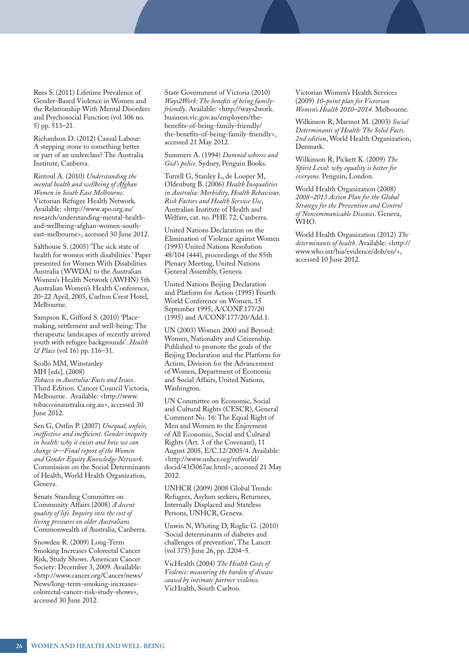Rees S. (2011) Lifetime Prevalence of Gender-Based Violence in Women and the Relationship With Mental Disorders and Psychosocial Function (vol 306 no. 5) pp. 513–21.

Richardson D. (2012) Casual Labour: A stepping stone to something better or part of an underclass? The Australia Institute, Canberra.

Rintoul A. (2010) *Understanding the mental health and wellbeing of Afghan Women in South East Melbourne*. Victorian Refugee Health Network. Available: <[http://www.apo.org.au/](http://www.apo.org.au/research/understanding-mental-health-and-wellbeing-afghan-women-south-east-melbourne) [research/understanding-mental-health](http://www.apo.org.au/research/understanding-mental-health-and-wellbeing-afghan-women-south-east-melbourne)[and-wellbeing-afghan-women-south](http://www.apo.org.au/research/understanding-mental-health-and-wellbeing-afghan-women-south-east-melbourne)[east-melbourne>](http://www.apo.org.au/research/understanding-mental-health-and-wellbeing-afghan-women-south-east-melbourne), accessed 30 June 2012.

Salthouse S. (2005) 'The sick state of health for women with disabilities.' Paper presented for Women With Disabilities Australia (WWDA) to the Australian Women's Health Network (AWHN) 5th Australian Women's Health Conference, 20–22 April, 2005, Carlton Crest Hotel, Melbourne.

Sampson K, Gifford S. (2010) 'Placemaking, settlement and well-being: The therapeutic landscapes of recently arrived youth with refugee backgrounds'. *Health & Place* (vol 16) pp. 116–31.

Scollo MM, Winstanley MH [eds]. (2008)

*Tobacco in Australia: Facts and Issues*. Third Edition. Cancer Council Victoria, Melbourne. Available: <[http://www.](http://www.tobaccoinaustralia.org.au) [tobaccoinaustralia.org.au](http://www.tobaccoinaustralia.org.au)>, accessed 30 June 2012.

Sen G, Ostlin P. (2007) *Unequal, unfair, ineffective and inefficient. Gender inequity in health: why it exists and how we can change it—Final report of the Women and Gender Equity Knowledge Network.* Commission on the Social Determinants of Health, World Health Organization, Geneva.

Senate Standing Committee on Community Affairs (2008) *A decent quality of life. Inquiry into the cost of living pressures on older Australians.* Commonwealth of Australia, Canberra.

Snowden R. (2009) Long-Term Smoking Increases Colorectal Cancer Risk, Study Shows. American Cancer Society: December 3, 2009. Available: [<http://www.cancer.org/Cancer/news/](http://www.cancer.org/Cancer/news/News/long-term-smoking-increases-colorectal-cancer-risk-study-shows) [News/long-term-smoking-increases](http://www.cancer.org/Cancer/news/News/long-term-smoking-increases-colorectal-cancer-risk-study-shows)[colorectal-cancer-risk-study-shows>](http://www.cancer.org/Cancer/news/News/long-term-smoking-increases-colorectal-cancer-risk-study-shows), accessed 30 June 2012.

State Government of Victoria (2010) *Ways2Work: The benefits of being familyfriendly*. Available: <http://ways2work. business.vic.gov.au/employers/thebenefits-of-being-family-friendly/ the-benefits-of-being-family-friendly>, accessed 21 May 2012.

Summers A. (1994) *Damned whores and God's police*. Sydney, Penguin Books.

Turrell G, Stanley L, de Looper M, Oldenburg B. (2006) *Health Inequalities in Australia: Morbidity, Health Behaviour, Risk Factors and Health Service Use*, Australian Institute of Health and Welfare, cat. no. PHE 72, Canberra.

United Nations Declaration on the Elimination of Violence against Women (1993) United Nations Resolution 48/104 (444), proceedings of the 85th Plenary Meeting, United Nations General Assembly, Geneva.

United Nations Beijing Declaration and Platform for Action (1995) Fourth World Conference on Women, 15 September 1995, A/CONF.177/20 (1995) and A/CONF.177/20/Add.1.

UN (2003) Women 2000 and Beyond: Women, Nationality and Citizenship. Published to promote the goals of the Beijing Declaration and the Platform for Action, Division for the Advancement of Women, Department of Economic and Social Affairs, United Nations, Washington.

UN Committee on Economic, Social and Cultural Rights (CESCR), General Comment No. 16: The Equal Right of Men and Women to the Enjoyment of All Economic, Social and Cultural Rights (Art. 3 of the Covenant), 11 August 2005, E/C.12/2005/4. Available: [<http://www.unhcr.org/refworld/](http://www.unhcr.org/refworld/docid/43f3067ae.html) [docid/43f3067ae.html>](http://www.unhcr.org/refworld/docid/43f3067ae.html), accessed 21 May 2012.

UNHCR (2009) 2008 Global Trends: Refugees, Asylum seekers, Returnees, Internally Displaced and Stateless Persons, UNHCR, Geneva.

Unwin N, Whiting D, Roglic G. (2010) 'Social determinants of diabetes and challenges of prevention', The Lancet (vol 375) June 26, pp. 2204–5.

VicHealth (2004) *The Health Costs of Violence: measuring the burden of disease caused by intimate partner violence.* VicHealth, South Carlton.

Victorian Women's Health Services (2009) *10-point plan for Victorian Women's Health 2010–2014.* Melbourne.

Wilkinson R, Marmot M. (2003) *Social Determinants of Health: The Solid Facts. 2nd edition*, World Health Organization, Denmark.

Wilkinson R, Pickett K. (2009) *The Spirit Level*: *why equality is better for everyone*. Penguin, London.

World Health Organization (2008) *2008–2013 Action Plan for the Global Strategy for the Prevention and Control of Noncommunicable Diseases*. Geneva, WHO.

World Health Organization (2012) *The determinants of health*. Available: [<http://](http://www.who.int/hia/evidence/doh/en/) [www.who.int/hia/evidence/doh/en/](http://www.who.int/hia/evidence/doh/en/)>, accessed 10 June 2012.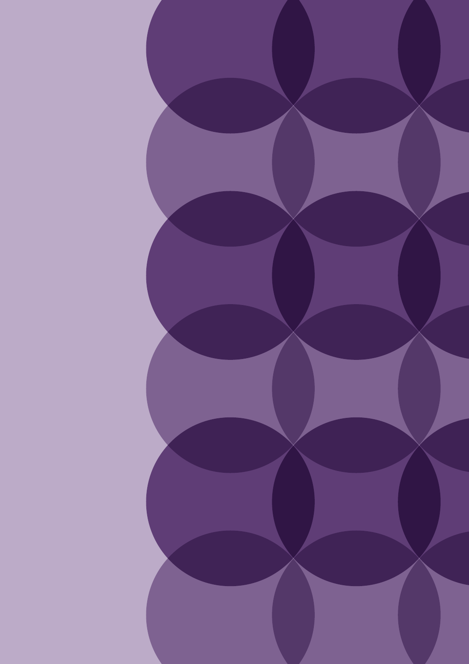